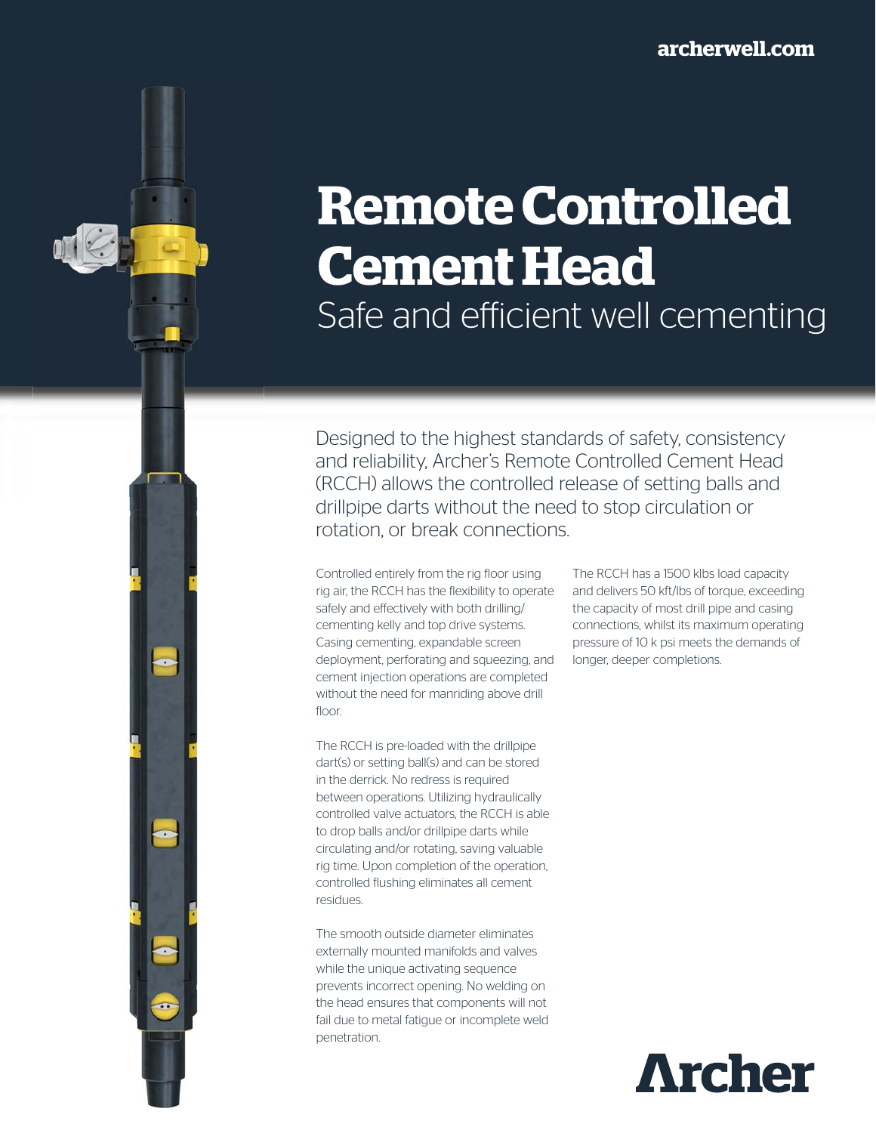# **Remote Controlled Cement Head** Safe and efficient well cementing

Designed to the highest standards of safety, consistency and reliability, Archer's Remote Controlled Cement Head (RCCH) allows the controlled release of setting balls and drillpipe darts without the need to stop circulation or rotation, or break connections.

Controlled entirely from the rig floor using rig air, the RCCH has the flexibility to operate safely and effectively with both drilling/ cementing kelly and top drive systems. Casing cementing, expandable screen deployment, perforating and squeezing, and cement injection operations are completed without the need for manriding above drill floor.

The RCCH is pre-loaded with the drillpipe dart(s) or setting ball(s) and can be stored in the derrick. No redress is required between operations. Utilizing hydraulically controlled valve actuators, the RCCH is able to drop balls and/or drillpipe darts while circulating and/or rotating, saving valuable rig time. Upon completion of the operation, controlled flushing eliminates all cement residues.

 $\rightarrow$ 

The smooth outside diameter eliminates externally mounted manifolds and valves while the unique activating sequence prevents incorrect opening. No welding on the head ensures that components will not fail due to metal fatigue or incomplete weld penetration.

The RCCH has a 1500 klbs load capacity and delivers 50 kft/lbs of torque, exceeding the capacity of most drill pipe and casing connections, whilst its maximum operating pressure of 10 k psi meets the demands of longer, deeper completions.